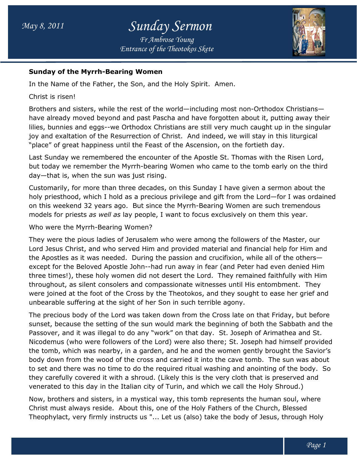

### Sunday of the Myrrh-Bearing Women Bearing

In the Name of the Father, the Son, and the Holy Spirit. Spirit. Amen.

Christ is risen!

Brothers and sisters, while the rest of the world—including most non-Orthodox Christians have already moved beyond and past Pascha and have forgotten about it, putting away their lilies, bunnies and eggs--we Orthodox Christians are still very much caught up in the singular lilies, bunnies and eggs--we Orthodox Christians are still very much caught up in the singı<br>joy and exaltation of the Resurrection of Christ. And indeed, we will stay in this liturgical "place" of great happiness until the Feast of the Ascension, on the fortieth day.

Last Sunday we remembered the encounter of the Apostle St. Thomas with the Risen Lord, Last Sunday we remembered the encounter of the Apostle St. Thomas with the Risen Lord,<br>but today we remember the Myrrh-bearing Women who came to the tomb early on the third day—that is, when the sun was just rising.

Customarily, for more than three decades, on this Sunday I have given a sermon about the holy priesthood, which I hold as a precious privilege and gift from the Lord on this weekend 32 years ago. But since the Myrrh Bearing such tremendous models for priests *as well as* lay people, I want to focus exclusively on them this year.<br>Who were the Myrrh-Bearing Women? day—that is, when the sun was just rising.<br>Customarily, for more than three decades, on this Sunday I have given a se<br>holy priesthood, which I hold as a precious privilege and gift from the Lord—<br>on this weekend 32 years a bearing Women who came to the tomb early on the third<br>t rising.<br>ecades, on this Sunday I have given a sermon about the<br>precious privilege and gift from the Lord—for I was ordained

Who were the Myrrh-Bearing Women?

They were the pious ladies of Jerusalem who were among the followers of the Master, our Lord Jesus Christ, and who served Him and provided material and financial help for Him and the Apostles as it was needed. During the passion and crucifixion, while all of the others except for the Beloved Apostle John--had run away in fear (and Peter had even denied Him three times!), these holy women did not desert the Lord. They remained faithfully with Him throughout, as silent consolers and compassionate witnesses until His entombment. were joined at the foot of the Cross by the Theotokos, and they sought to ease her grief an unbearable suffering at the sight of her Son in such terrible agony. pious ladies of Jerusalem who were among the followers of the Master, our<br>ist, and who served Him and provided material and financial help for Him and<br>it was needed. During the passion and crucifixion, while all of the oth as silent consolers and compassionate witnesses until His entombment.<br>at the foot of the Cross by the Theotokos, and they sought to ease her<br>suffering at the sight of her Son in such terrible agony. others had run away in fear (and Peter had even denied Him<br>10t desert the Lord. They remained faithfully with Hir<br>10thers witnesses until His entombment. They and

The precious body of the Lord was taken down from the Cross late on that Friday, but before sunset, because the setting of the sun would mark the beginning of both the Sabbath and the<br>Passover, and it was illegal to do any "work" on that day. St. Joseph of Arimathea and St. Passover, and it was illegal to do any "work" on that day. St. Joseph of Arimathea and St. Nicodemus (who were followers of the Lord) were also there; St. Joseph had himself provided the tomb, which was nearby, in a garden, and he and the women gently br body down from the wood of the cross and carried it into the cave tomb. The sun was about to set and there was no time to do the required ritual washing and anointing of the body. So they carefully covered it with a shroud. (Likely this is the very cloth that is preserved and venerated to this day in the Italian city of Turin, and which we call the Holy Shroud.) Nicodemus (who were followers of the Lord) were also there; St. Joseph had himself provi<br>the tomb, which was nearby, in a garden, and he and the women gently brought the Savio<br>body down from the wood of the cross and carri St. Joseph of Arimathea and St.<br><sup>-</sup>e; St. Joseph had himself provided<br>women gently brought the Savior's

Now, brothers and sisters, in a mystical way, this tomb represents the human soul, where Christ must always reside. About this, one of the Holy Fathers of the Church, Blessed Theophylact, very firmly instructs us "... Let us (also) take the body of Jesus, through Holy venerated to this day in the Italian city of Turin, and which we call the Holy Shroud.)<br>Now, brothers and sisters, in a mystical way, this tomb represents the human soul, where<br>Christ must always reside. About this, one of id. (Likely this is the very cloth that is<br>ty of Turin, and which we call the Holy<br>cal way, this tomb represents the hum<br>s, one of the Holy Fathers of the Churo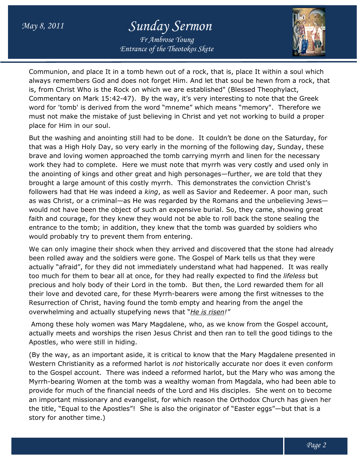# May 8, 2011 Sunday Sermon

Entrance of the Theotokos Skete Fr Ambrose Young



Communion, and place It in a tomb hewn out of a rock, that is, place It within a soul which always remembers God and does not forget Him. And let that soul be hewn from a rock, that always remembers God and does not forget Him. And let that soul be hewn from a r<br>is, from Christ Who is the Rock on which we are established" (Blessed Theophylact, Commentary on Mark 15:42-47). By the way, it's very interesting to note that the Greek Commentary on Mark 15:42-47). By the way, it's very interesting to note that the Greek<br>word for 'tomb' is derived from the word "mneme" which means "memory". Therefore we must not make the mistake of just believing in Christ and yet not working to build a proper place for Him in our soul. word for 'tomb' is derived from the word "mneme" which means "memory". Therefore we<br>must not make the mistake of just believing in Christ and yet not working to build a proper<br>place for Him in our soul.<br>But the washing and

that was a High Holy Day, so very early in the morning of the following day, Sunday, these brave and loving women approached the tomb carrying myrrh and linen for the necessary work they had to complete. Here we must note that myrrh was very costly and used only in the anointing of kings and other great and high personages—further, we are told that they brought a large amount of this costly myrrh. This demonstrates the conviction Christ's followers had that He was indeed a *king*, as well as Savior and Redeemer. A poor man, such the anointing of kings and other great and high personages—further, we are told that they<br>brought a large amount of this costly myrrh. This demonstrates the conviction Christ's<br>followers had that He was indeed a *king*, as would not have been the object of such an expensive burial. So, they came, showing great faith and courage, for they knew they would not be able to roll back the stone sealing the entrance to the tomb; in addition, they knew that the tomb was guarded by soldiers who would probably try to prevent them from entering. as He was regarded by the Romans and the unbelieving Jews<br>ect of such an expensive burial. So, they came, showing great<br>new they would not be able to roll back the stone sealing the<br>ition, they knew that the tomb was guard

We can only imagine their shock when they arrived and discovered that the stone had already been rolled away and the soldiers were gone. The Gospel of Mark tells us that they were We can only imagine their shock when they arrived and discovered that the stone had alread<sup>.</sup><br>been rolled away and the soldiers were gone. The Gospel of Mark tells us that they were<br>actually "afraid", for they did not imme actually "afraid", for they did not immediately understand what had happened. It was rea<br>too much for them to bear all at once, for they had really expected to find the *lifeless* but precious and holy body of their Lord in the tomb. But then, the Lord rewarded them for all their love and devoted care, for these Myrrh-bearers were among the first witnesses to the Resurrection of Christ, having found the tomb empty and hearing from the angel the overwhelming and actually stupefying news that "*He is risen!"* 

Among these holy women was Mary Magdalene, who, as we know from the Gospel account, Among these holy women was Mary Magdalene, who, as we know from the Gospel account,<br>actually meets and worships the risen Jesus Christ and then ran to tell the good tidings to the Apostles, who were still in hiding.

(By the way, as an important aside, it is critical to know that the Mary Magdalene presented in Western Christianity as a reformed harlot is not historically accurate nor does it even conform to the Gospel account. There was indeed a reformed harlot, but the Mary who was among the Myrrh-bearing Women at the tomb was a wealthy woman from Magdala, who had been able to provide for much of the financial needs of the Lord and His disciples. She went on to become an important missionary and evangelist, for which reason the Orthodox Church has given her an important missionary and evangelist, for which reason the Orthodox Church has given her<br>the title, "Equal to the Apostles"! She is also the originator of "Easter eggs"—but that is a story for another time.) to the Gospel account. There was indeed a reformed harlot, but the Mary who was among the<br>Myrrh-bearing Women at the tomb was a wealthy woman from Magdala, who had been able to<br>provide for much of the financial needs of th bearers were among the first witnesses to the<br>b empty and hearing from the angel the<br>that "<u>He is risen!</u>"<br>ene, who, as we know from the Gospel account,<br>Christ and then ran to tell the good tidings to the<br>cal to know that